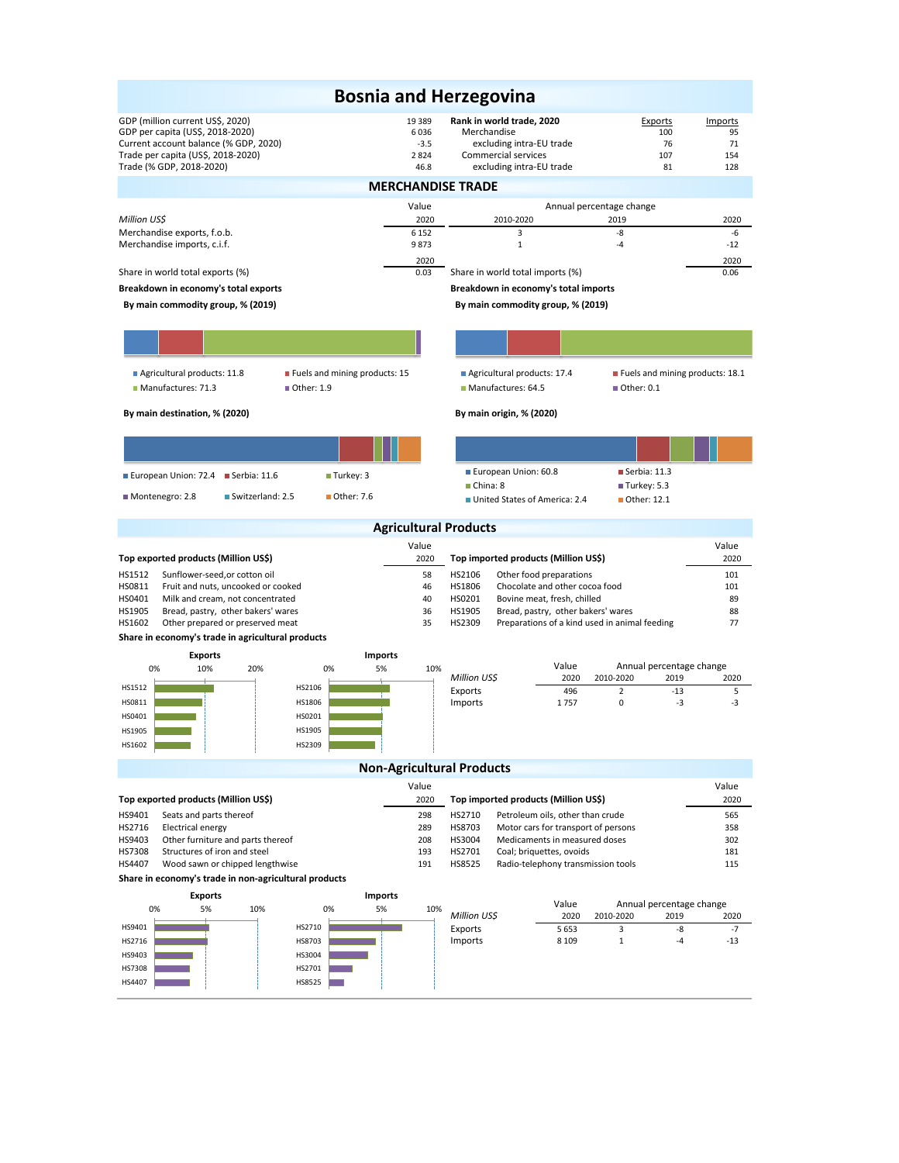| <b>Bosnia and Herzegovina</b>                                                                                                                                                   |                                          |                                                                                                                         |                                                       |                                   |  |  |  |  |  |  |
|---------------------------------------------------------------------------------------------------------------------------------------------------------------------------------|------------------------------------------|-------------------------------------------------------------------------------------------------------------------------|-------------------------------------------------------|-----------------------------------|--|--|--|--|--|--|
| GDP (million current US\$, 2020)<br>GDP per capita (US\$, 2018-2020)<br>Current account balance (% GDP, 2020)<br>Trade per capita (US\$, 2018-2020)<br>Trade (% GDP, 2018-2020) | 19 389<br>6036<br>$-3.5$<br>2824<br>46.8 | Rank in world trade, 2020<br>Merchandise<br>excluding intra-EU trade<br>Commercial services<br>excluding intra-EU trade | Exports<br>100<br>76<br>107<br>81                     | Imports<br>95<br>71<br>154<br>128 |  |  |  |  |  |  |
|                                                                                                                                                                                 |                                          | <b>MERCHANDISE TRADE</b>                                                                                                |                                                       |                                   |  |  |  |  |  |  |
|                                                                                                                                                                                 | Value                                    |                                                                                                                         | Annual percentage change                              |                                   |  |  |  |  |  |  |
| Million US\$                                                                                                                                                                    | 2020                                     | 2010-2020                                                                                                               | 2019                                                  | 2020                              |  |  |  |  |  |  |
| Merchandise exports, f.o.b.                                                                                                                                                     | 6 1 5 2                                  | 3                                                                                                                       | -8                                                    | -6                                |  |  |  |  |  |  |
| Merchandise imports, c.i.f.                                                                                                                                                     | 9873                                     | $\mathbf{1}$                                                                                                            | $-4$                                                  | $-12$                             |  |  |  |  |  |  |
| Share in world total exports (%)                                                                                                                                                | 2020<br>0.03                             | Share in world total imports (%)                                                                                        |                                                       | 2020<br>0.06                      |  |  |  |  |  |  |
| Breakdown in economy's total exports                                                                                                                                            |                                          | Breakdown in economy's total imports                                                                                    |                                                       |                                   |  |  |  |  |  |  |
| By main commodity group, % (2019)<br>By main commodity group, % (2019)                                                                                                          |                                          |                                                                                                                         |                                                       |                                   |  |  |  |  |  |  |
|                                                                                                                                                                                 |                                          |                                                                                                                         |                                                       |                                   |  |  |  |  |  |  |
|                                                                                                                                                                                 |                                          |                                                                                                                         |                                                       |                                   |  |  |  |  |  |  |
|                                                                                                                                                                                 |                                          |                                                                                                                         |                                                       |                                   |  |  |  |  |  |  |
| Agricultural products: 11.8<br>■ Fuels and mining products: 15                                                                                                                  |                                          | Agricultural products: 17.4                                                                                             | Fuels and mining products: 18.1                       |                                   |  |  |  |  |  |  |
| Manufactures: 71.3<br>Other: 1.9                                                                                                                                                |                                          | Manufactures: 64.5                                                                                                      | ■ Other: 0.1                                          |                                   |  |  |  |  |  |  |
| By main destination, % (2020)                                                                                                                                                   |                                          | By main origin, % (2020)                                                                                                |                                                       |                                   |  |  |  |  |  |  |
|                                                                                                                                                                                 |                                          |                                                                                                                         |                                                       |                                   |  |  |  |  |  |  |
| European Union: 72.4<br>$\blacksquare$ Turkey: 3<br>$\blacksquare$ Serbia: 11.6                                                                                                 |                                          | European Union: 60.8                                                                                                    | $\blacksquare$ Serbia: 11.3                           |                                   |  |  |  |  |  |  |
| Montenegro: 2.8<br>Switzerland: 2.5<br>■ Other: 7.6                                                                                                                             |                                          | China: 8<br>United States of America: 2.4                                                                               | Turkey: 5.3<br>Other: 12.1                            |                                   |  |  |  |  |  |  |
|                                                                                                                                                                                 |                                          |                                                                                                                         |                                                       |                                   |  |  |  |  |  |  |
|                                                                                                                                                                                 |                                          | <b>Agricultural Products</b>                                                                                            |                                                       |                                   |  |  |  |  |  |  |
|                                                                                                                                                                                 | Value                                    |                                                                                                                         |                                                       | Value                             |  |  |  |  |  |  |
| Top exported products (Million US\$)                                                                                                                                            | 2020                                     | Top imported products (Million US\$)                                                                                    |                                                       | 2020                              |  |  |  |  |  |  |
| HS1512<br>Sunflower-seed, or cotton oil                                                                                                                                         | 58                                       | HS2106<br>Other food preparations<br>46<br>HS1806<br>Chocolate and other cocoa food                                     |                                                       |                                   |  |  |  |  |  |  |
| HS0811<br>Fruit and nuts, uncooked or cooked<br>HS0401<br>Milk and cream, not concentrated                                                                                      | 40                                       | HS0201<br>Bovine meat, fresh, chilled                                                                                   | 101<br>89                                             |                                   |  |  |  |  |  |  |
| HS1905<br>Bread, pastry, other bakers' wares                                                                                                                                    | 36                                       | HS1905<br>Bread, pastry, other bakers' wares                                                                            | 88                                                    |                                   |  |  |  |  |  |  |
| HS1602<br>Other prepared or preserved meat                                                                                                                                      | 35                                       | HS2309                                                                                                                  | Preparations of a kind used in animal feeding         | 77                                |  |  |  |  |  |  |
| Share in economy's trade in agricultural products                                                                                                                               |                                          |                                                                                                                         |                                                       |                                   |  |  |  |  |  |  |
| <b>Imports</b><br><b>Exports</b>                                                                                                                                                |                                          |                                                                                                                         |                                                       |                                   |  |  |  |  |  |  |
| 5%<br>0%<br>10%<br>20%<br>0%                                                                                                                                                    | 10%                                      | Value<br>Million US\$                                                                                                   | Annual percentage change<br>2020<br>2010-2020<br>2019 | 2020                              |  |  |  |  |  |  |
| HS1512<br>HS2106                                                                                                                                                                |                                          | Exports                                                                                                                 | 496<br>$\overline{2}$<br>$-13$                        | 5                                 |  |  |  |  |  |  |
| HS1806<br>HS0811                                                                                                                                                                |                                          | Imports<br>1757                                                                                                         | 0<br>-3                                               | -3                                |  |  |  |  |  |  |
| HS0401<br>HS0201                                                                                                                                                                |                                          |                                                                                                                         |                                                       |                                   |  |  |  |  |  |  |
| HS1905<br>HS1905<br>HS1602<br>HS2309                                                                                                                                            |                                          |                                                                                                                         |                                                       |                                   |  |  |  |  |  |  |
|                                                                                                                                                                                 |                                          |                                                                                                                         |                                                       |                                   |  |  |  |  |  |  |
|                                                                                                                                                                                 |                                          | <b>Non-Agricultural Products</b>                                                                                        |                                                       |                                   |  |  |  |  |  |  |
| Top exported products (Million US\$)                                                                                                                                            | Value<br>2020                            | Top imported products (Million US\$)                                                                                    |                                                       | Value<br>2020                     |  |  |  |  |  |  |
| HS9401                                                                                                                                                                          | 298                                      | HS2710                                                                                                                  |                                                       | 565                               |  |  |  |  |  |  |
| Seats and parts thereof<br>HS2716<br><b>Electrical energy</b>                                                                                                                   | 289                                      | Petroleum oils, other than crude<br>HS8703<br>Motor cars for transport of persons                                       |                                                       | 358                               |  |  |  |  |  |  |
| HS9403<br>Other furniture and parts thereof                                                                                                                                     | 208                                      | HS3004<br>Medicaments in measured doses                                                                                 |                                                       | 302                               |  |  |  |  |  |  |
| HS7308<br>Structures of iron and steel                                                                                                                                          | 193                                      | HS2701<br>Coal; briquettes, ovoids                                                                                      |                                                       | 181                               |  |  |  |  |  |  |
| HS4407<br>Wood sawn or chipped lengthwise                                                                                                                                       | 191                                      | HS8525<br>Radio-telephony transmission tools                                                                            |                                                       | 115                               |  |  |  |  |  |  |
| Share in economy's trade in non-agricultural products                                                                                                                           |                                          |                                                                                                                         |                                                       |                                   |  |  |  |  |  |  |
| <b>Exports</b><br>Imports<br>0%<br>5%<br>0%<br>10%<br>5%                                                                                                                        | 10%                                      | Value                                                                                                                   | Annual percentage change                              |                                   |  |  |  |  |  |  |
| HS9401<br>HS2710                                                                                                                                                                |                                          | Million US\$                                                                                                            | 2020<br>2010-2020<br>2019                             | 2020                              |  |  |  |  |  |  |
| HS2716<br>HS8703                                                                                                                                                                |                                          | Exports<br>Imports                                                                                                      | 3<br>-8<br>5653<br>8 1 0 9<br>$\mathbf{1}$<br>-4      | $-7$<br>-13                       |  |  |  |  |  |  |
| HS9403<br>HS3004                                                                                                                                                                |                                          |                                                                                                                         |                                                       |                                   |  |  |  |  |  |  |
| HS7308<br>HS2701                                                                                                                                                                |                                          |                                                                                                                         |                                                       |                                   |  |  |  |  |  |  |
| HS4407<br>HS8525                                                                                                                                                                |                                          |                                                                                                                         |                                                       |                                   |  |  |  |  |  |  |
|                                                                                                                                                                                 |                                          |                                                                                                                         |                                                       |                                   |  |  |  |  |  |  |